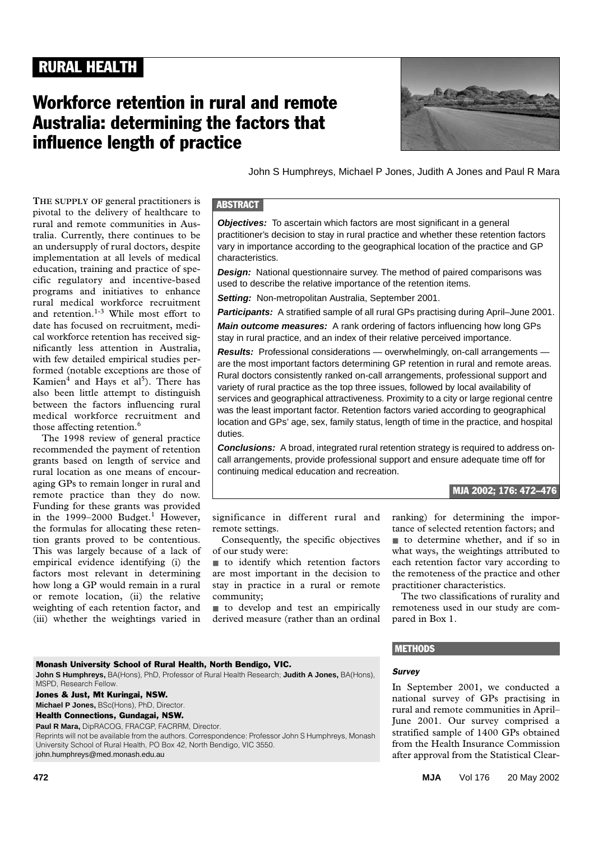# RURAL HEALTH RURAL HEALTH

pivotal to the delivery of healthcare to producte the derivery of heurience to<br>rural and remote communities in Ausand remote communities in 1100 tralia. Currently, there continues to be an undersupply of rural doctors, despite

**THE SUPPLY OF** general practitioners is

implementation at all levels of medical education, training and practice of specific regulatory and incentive-based programs and initiatives to enhance rural medical workforce recruitment and retention.<sup>1-3</sup> While most effort to date has focused on recruitment, medical workforce retention has received significantly less attention in Australia, with few detailed empirical studies performed (notable exceptions are those of Kamien<sup>4</sup> and Hays et al<sup>5</sup>). There has also been little attempt to distinguish between the factors influencing rural medical workforce recruitment and

those affecting retention.<sup>6</sup>

The 1998 review of general practice recommended the payment of retention grants based on length of service and rural location as one means of encouraging GPs to remain longer in rural and remote practice than they do now. Funding for these grants was provided in the 1999–2000 Budget.<sup>1</sup> However, the formulas for allocating these retention grants proved to be contentious. This was largely because of a lack of empirical evidence identifying (i) the factors most relevant in determining how long a GP would remain in a rural or remote location, (ii) the relative weighting of each retention factor, and (iii) whether the weightings varied in

# Workforce retention in rural and remote Australia: determining the factors that influence length of practice



John S Humphreys, Michael P Jones, Judith A Jones and Paul R Mara

# **ABSTRACT**

**Objectives:** To ascertain which factors are most significant in a general practitioner's decision to stay in rural practice and whether these retention factors vary in importance according to the geographical location of the practice and GP characteristics.

**Design:** National questionnaire survey. The method of paired comparisons was used to describe the relative importance of the retention items.

**Setting:** Non-metropolitan Australia, September 2001.

**Participants:** A stratified sample of all rural GPs practising during April–June 2001. **Main outcome measures:** A rank ordering of factors influencing how long GPs stay in rural practice, and an index of their relative perceived importance.

**Results:** Professional considerations — overwhelmingly, on-call arrangements are the most important factors determining GP retention in rural and remote areas. Rural doctors consistently ranked on-call arrangements, professional support and variety of rural practice as the top three issues, followed by local availability of services and geographical attractiveness. Proximity to a city or large regional centre was the least important factor. Retention factors varied according to geographical location and GPs' age, sex, family status, length of time in the practice, and hospital duties.

**Conclusions:** A broad, integrated rural retention strategy is required to address oncall arrangements, provide professional support and ensure adequate time off for continuing medical education and recreation.

#### MJA 2002; 176: 472–476

significance in different rural and remote settings.

Consequently, the specific objectives of our study were:

■ to identify which retention factors are most important in the decision to stay in practice in a rural or remote community;

■ to develop and test an empirically derived measure (rather than an ordinal

ranking) for determining the importance of selected retention factors; and ■ to determine whether, and if so in what ways, the weightings attributed to each retention factor vary according to the remoteness of the practice and other practitioner characteristics.

The two classifications of rurality and remoteness used in our study are compared in Box 1.

#### Monash University School of Rural Health, North Bendigo, VIC.

**John S Humphreys,** BA(Hons), PhD, Professor of Rural Health Research; **Judith A Jones,** BA(Hons), MSPD, Research Fellow.

Jones & Just, Mt Kuringai, NSW.

**Michael P Jones,** BSc(Hons), PhD, Director.

Health Connections, Gundagai, NSW.

**Paul R Mara,** DipRACOG, FRACGP, FACRRM, Director.

Reprints will not be available from the authors. Correspondence: Professor John S Humphreys, Monash University School of Rural Health, PO Box 42, North Bendigo, VIC 3550. john.humphreys@med.monash.edu.au

## **METHODS**

#### *Survey*

In September 2001, we conducted a national survey of GPs practising in rural and remote communities in April– June 2001. Our survey comprised a stratified sample of 1400 GPs obtained from the Health Insurance Commission after approval from the Statistical Clear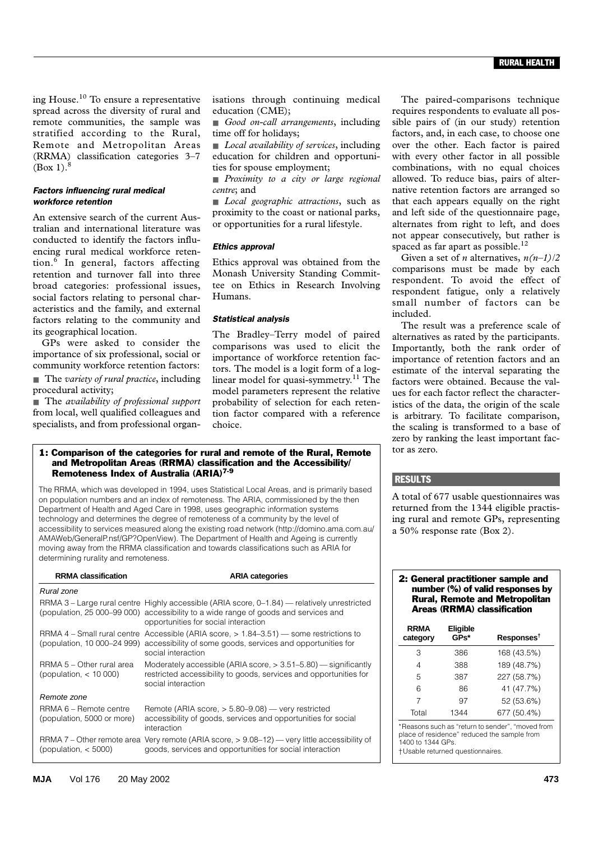ing House.10 To ensure a representative spread across the diversity of rural and remote communities, the sample was stratified according to the Rural, Remote and Metropolitan Areas (RRMA) classification categories 3–7  $(Box 1)$ .

#### *Factors influencing rural medical workforce retention*

An extensive search of the current Australian and international literature was conducted to identify the factors influencing rural medical workforce retention.6 In general, factors affecting retention and turnover fall into three broad categories: professional issues, social factors relating to personal characteristics and the family, and external factors relating to the community and its geographical location.

GPs were asked to consider the importance of six professional, social or community workforce retention factors:

■ The *variety of rural practice*, including procedural activity;

■ The *availability of professional support* from local, well qualified colleagues and specialists, and from professional organisations through continuing medical education (CME);

■ *Good on-call arrangements*, including time off for holidays;

■ *Local availability of services*, including education for children and opportunities for spouse employment;

■ *Proximity to a city or large regional centre*; and

■ *Local geographic attractions*, such as proximity to the coast or national parks, or opportunities for a rural lifestyle.

#### *Ethics approval*

Ethics approval was obtained from the Monash University Standing Committee on Ethics in Research Involving Humans.

#### *Statistical analysis*

The Bradley–Terry model of paired comparisons was used to elicit the importance of workforce retention factors. The model is a logit form of a loglinear model for quasi-symmetry.<sup>11</sup> The model parameters represent the relative probability of selection for each retention factor compared with a reference choice.

#### 1: Comparison of the categories for rural and remote of the Rural, Remote and Metropolitan Areas (RRMA) classification and the Accessibility/ Remoteness Index of Australia (ARIA)<sup>7-9</sup>

The RRMA, which was developed in 1994, uses Statistical Local Areas, and is primarily based on population numbers and an index of remoteness. The ARIA, commissioned by the then Department of Health and Aged Care in 1998, uses geographic information systems technology and determines the degree of remoteness of a community by the level of accessibility to services measured along the existing road network (http://domino.ama.com.au/ AMAWeb/GeneralP.nsf/GP?OpenView). The Department of Health and Ageing is currently moving away from the RRMA classification and towards classifications such as ARIA for determining rurality and remoteness.

| <b>RRMA classification</b>                            | <b>ARIA categories</b>                                                                                                                                                                                                      |
|-------------------------------------------------------|-----------------------------------------------------------------------------------------------------------------------------------------------------------------------------------------------------------------------------|
| Rural zone                                            |                                                                                                                                                                                                                             |
|                                                       | RRMA 3 – Large rural centre Highly accessible (ARIA score, 0–1.84) — relatively unrestricted<br>(population, 25 000–99 000) accessibility to a wide range of goods and services and<br>opportunities for social interaction |
|                                                       | RRMA 4 – Small rural centre Accessible (ARIA score, $> 1.84 - 3.51$ ) — some restrictions to<br>(population, 10 000–24 999) accessibility of some goods, services and opportunities for<br>social interaction               |
| RRMA 5 - Other rural area<br>(population, $<$ 10 000) | Moderately accessible (ARIA score, $> 3.51-5.80$ ) — significantly<br>restricted accessibility to goods, services and opportunities for<br>social interaction                                                               |
| Remote zone                                           |                                                                                                                                                                                                                             |
| RRMA 6 - Remote centre<br>(population, 5000 or more)  | Remote (ARIA score, $> 5.80 - 9.08$ ) — very restricted<br>accessibility of goods, services and opportunities for social<br>interaction                                                                                     |
| RRMA 7 - Other remote area<br>(population, $<$ 5000)  | Very remote (ARIA score, $> 9.08-12$ ) — very little accessibility of<br>goods, services and opportunities for social interaction                                                                                           |

The paired-comparisons technique requires respondents to evaluate all possible pairs of (in our study) retention factors, and, in each case, to choose one over the other. Each factor is paired with every other factor in all possible combinations, with no equal choices allowed. To reduce bias, pairs of alternative retention factors are arranged so that each appears equally on the right and left side of the questionnaire page, alternates from right to left, and does not appear consecutively, but rather is spaced as far apart as possible.<sup>12</sup>

Given a set of *n* alternatives, *n(n–1)/2* comparisons must be made by each respondent. To avoid the effect of respondent fatigue, only a relatively small number of factors can be included.

The result was a preference scale of alternatives as rated by the participants. Importantly, both the rank order of importance of retention factors and an estimate of the interval separating the factors were obtained. Because the values for each factor reflect the characteristics of the data, the origin of the scale is arbitrary. To facilitate comparison, the scaling is transformed to a base of zero by ranking the least important factor as zero.

#### RESULTS

A total of 677 usable questionnaires was returned from the 1344 eligible practising rural and remote GPs, representing a 50% response rate (Box 2).

#### 2: General practitioner sample and number (%) of valid responses by Rural, Remote and Metropolitan Areas (RRMA) classification

| <b>RRMA</b><br>category                                                                                              | <b>Eligible</b><br>GPs* | Responses <sup>t</sup> |  |
|----------------------------------------------------------------------------------------------------------------------|-------------------------|------------------------|--|
| З                                                                                                                    | 386                     | 168 (43.5%)            |  |
| 4                                                                                                                    | 388                     | 189 (48.7%)            |  |
| 5                                                                                                                    | 387                     | 227 (58.7%)            |  |
| 6                                                                                                                    | 86                      | 41 (47.7%)             |  |
| 7                                                                                                                    | 97                      | 52 (53.6%)             |  |
| Total                                                                                                                | 1344                    | 677 (50.4%)            |  |
| *Reasons such as "return to sender", "moved from<br>place of residence" reduced the sample from<br>1400 to 1344 GPs. |                         |                        |  |

†Usable returned questionnaires.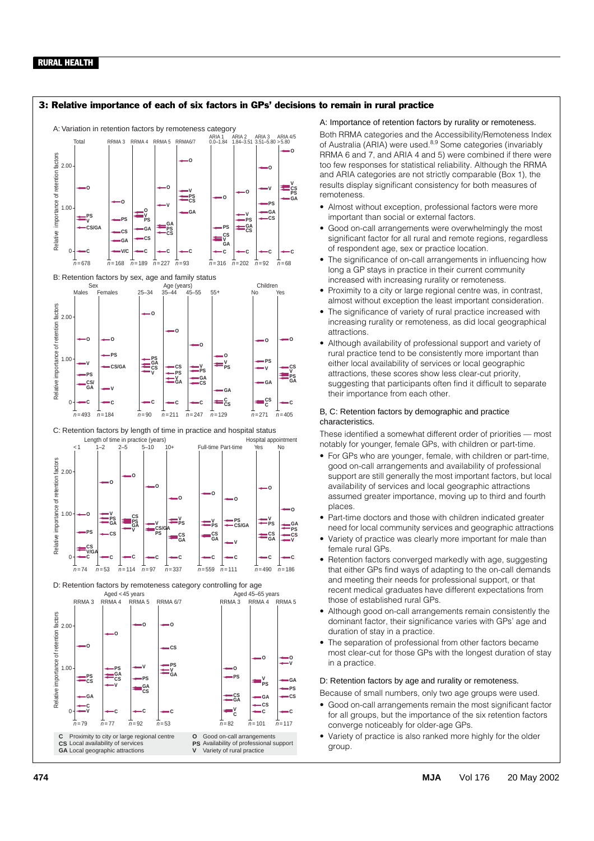#### 3: Relative importance of each of six factors in GPs' decisions to remain in rural practice

A: Variation in retention factors by remoteness category





 $\overline{c}$ 

n=74 n=53 n=114 n=97 n=337 n=559 n=111 n=490 n=186

**C**

**C**

**V**

**C**

**C**



 $\overline{c}$ 

 $\overline{c}$ 

 $\overline{c}$ 

**CS V/GA**

**C**

 $\mathcal{C}$ 



#### A: Importance of retention factors by rurality or remoteness.

Both RRMA categories and the Accessibility/Remoteness Index of Australia (ARIA) were used.<sup>8,9</sup> Some categories (invariably RRMA 6 and 7, and ARIA 4 and 5) were combined if there were too few responses for statistical reliability. Although the RRMA and ARIA categories are not strictly comparable (Box 1), the results display significant consistency for both measures of remoteness.

- Almost without exception, professional factors were more important than social or external factors.
- Good on-call arrangements were overwhelmingly the most significant factor for all rural and remote regions, regardless of respondent age, sex or practice location.
- The significance of on-call arrangements in influencing how long a GP stays in practice in their current community increased with increasing rurality or remoteness.
- Proximity to a city or large regional centre was, in contrast, almost without exception the least important consideration.
- The significance of variety of rural practice increased with increasing rurality or remoteness, as did local geographical attractions.
- Although availability of professional support and variety of rural practice tend to be consistently more important than either local availability of services or local geographic attractions, these scores show less clear-cut priority, suggesting that participants often find it difficult to separate their importance from each other.

#### B, C: Retention factors by demographic and practice characteristics.

These identified a somewhat different order of priorities — most notably for younger, female GPs, with children or part-time.

- For GPs who are younger, female, with children or part-time, good on-call arrangements and availability of professional support are still generally the most important factors, but local availability of services and local geographic attractions assumed greater importance, moving up to third and fourth places.
- Part-time doctors and those with children indicated greater need for local community services and geographic attractions
- Variety of practice was clearly more important for male than female rural GPs.
- Retention factors converged markedly with age, suggesting that either GPs find ways of adapting to the on-call demands and meeting their needs for professional support, or that recent medical graduates have different expectations from those of established rural GPs.
- Although good on-call arrangements remain consistently the dominant factor, their significance varies with GPs' age and duration of stay in a practice.
- The separation of professional from other factors became most clear-cut for those GPs with the longest duration of stay in a practice.

#### D: Retention factors by age and rurality or remoteness.

Because of small numbers, only two age groups were used.

- Good on-call arrangements remain the most significant factor for all groups, but the importance of the six retention factors converge noticeably for older-age GPs.
- Variety of practice is also ranked more highly for the older group.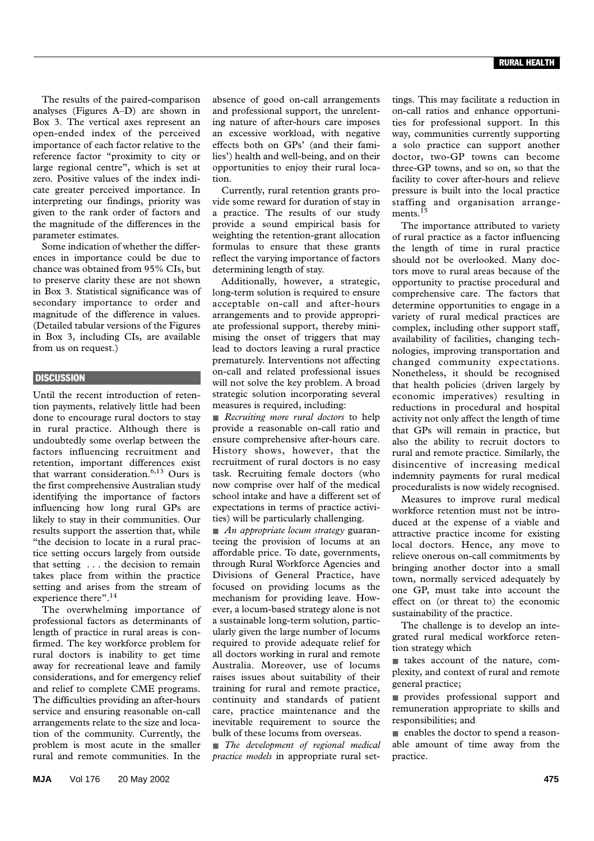The results of the paired-comparison analyses (Figures A–D) are shown in Box 3. The vertical axes represent an open-ended index of the perceived importance of each factor relative to the reference factor "proximity to city or large regional centre", which is set at zero. Positive values of the index indicate greater perceived importance. In interpreting our findings, priority was given to the rank order of factors and the magnitude of the differences in the parameter estimates.

Some indication of whether the differences in importance could be due to chance was obtained from 95% CIs, but to preserve clarity these are not shown in Box 3. Statistical significance was of secondary importance to order and magnitude of the difference in values. (Detailed tabular versions of the Figures in Box 3, including CIs, are available from us on request.)

#### **DISCUSSION**

Until the recent introduction of retention payments, relatively little had been done to encourage rural doctors to stay in rural practice. Although there is undoubtedly some overlap between the factors influencing recruitment and retention, important differences exist that warrant consideration.<sup>6,13</sup> Ours is the first comprehensive Australian study identifying the importance of factors influencing how long rural GPs are likely to stay in their communities. Our results support the assertion that, while "the decision to locate in a rural practice setting occurs largely from outside that setting . . . the decision to remain takes place from within the practice setting and arises from the stream of experience there".<sup>14</sup>

The overwhelming importance of professional factors as determinants of length of practice in rural areas is confirmed. The key workforce problem for rural doctors is inability to get time away for recreational leave and family considerations, and for emergency relief and relief to complete CME programs. The difficulties providing an after-hours service and ensuring reasonable on-call arrangements relate to the size and location of the community. Currently, the problem is most acute in the smaller rural and remote communities. In the

absence of good on-call arrangements and professional support, the unrelenting nature of after-hours care imposes an excessive workload, with negative effects both on GPs' (and their families') health and well-being, and on their opportunities to enjoy their rural location.

Currently, rural retention grants provide some reward for duration of stay in a practice. The results of our study provide a sound empirical basis for weighting the retention-grant allocation formulas to ensure that these grants reflect the varying importance of factors determining length of stay.

Additionally, however, a strategic, long-term solution is required to ensure acceptable on-call and after-hours arrangements and to provide appropriate professional support, thereby minimising the onset of triggers that may lead to doctors leaving a rural practice prematurely. Interventions not affecting on-call and related professional issues will not solve the key problem. A broad strategic solution incorporating several measures is required, including:

■ *Recruiting more rural doctors* to help provide a reasonable on-call ratio and ensure comprehensive after-hours care. History shows, however, that the recruitment of rural doctors is no easy task. Recruiting female doctors (who now comprise over half of the medical school intake and have a different set of expectations in terms of practice activities) will be particularly challenging.

■ *An appropriate locum strategy* guaranteeing the provision of locums at an affordable price. To date, governments, through Rural Workforce Agencies and Divisions of General Practice, have focused on providing locums as the mechanism for providing leave. However, a locum-based strategy alone is not a sustainable long-term solution, particularly given the large number of locums required to provide adequate relief for all doctors working in rural and remote Australia. Moreover, use of locums raises issues about suitability of their training for rural and remote practice, continuity and standards of patient care, practice maintenance and the inevitable requirement to source the bulk of these locums from overseas.

■ *The development of regional medical practice models* in appropriate rural settings. This may facilitate a reduction in on-call ratios and enhance opportunities for professional support. In this way, communities currently supporting a solo practice can support another doctor, two-GP towns can become three-GP towns, and so on, so that the facility to cover after-hours and relieve pressure is built into the local practice staffing and organisation arrange $ments.<sup>1</sup>$ 

The importance attributed to variety of rural practice as a factor influencing the length of time in rural practice should not be overlooked. Many doctors move to rural areas because of the opportunity to practise procedural and comprehensive care. The factors that determine opportunities to engage in a variety of rural medical practices are complex, including other support staff, availability of facilities, changing technologies, improving transportation and changed community expectations. Nonetheless, it should be recognised that health policies (driven largely by economic imperatives) resulting in reductions in procedural and hospital activity not only affect the length of time that GPs will remain in practice, but also the ability to recruit doctors to rural and remote practice. Similarly, the disincentive of increasing medical indemnity payments for rural medical proceduralists is now widely recognised.

Measures to improve rural medical workforce retention must not be introduced at the expense of a viable and attractive practice income for existing local doctors. Hence, any move to relieve onerous on-call commitments by bringing another doctor into a small town, normally serviced adequately by one GP, must take into account the effect on (or threat to) the economic sustainability of the practice.

The challenge is to develop an integrated rural medical workforce retention strategy which

■ takes account of the nature, complexity, and context of rural and remote general practice;

■ provides professional support and remuneration appropriate to skills and responsibilities; and

■ enables the doctor to spend a reasonable amount of time away from the practice.